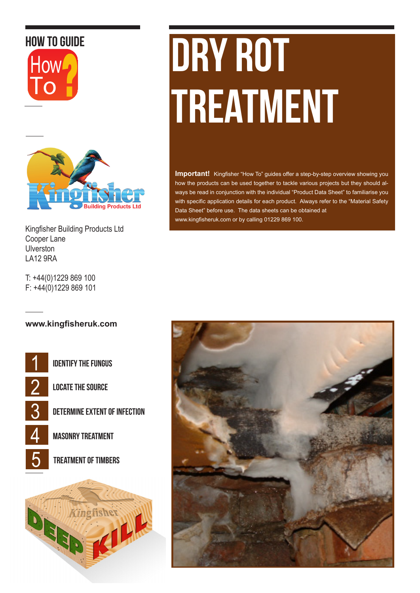# How to guide





Kingfisher Building Products Ltd Cooper Lane Ulverston LA12 9RA

T: +44(0)1229 869 100 F: +44(0)1229 869 101

# DRY ROT **TREATMENT**

**Important!** Kingfisher "How To" guides offer a step-by-step overview showing you how the products can be used together to tackle various projects but they should always be read in conjunction with the individual "Product Data Sheet" to familiarise you with specific application details for each product. Always refer to the "Material Safety Data Sheet" before use. The data sheets can be obtained at www.kingfisheruk.com or by calling 01229 869 100.

#### **www.kingfisheruk.com**

Identify the fungus

Locate the Source

Determine Extent of infection

Masonry Treatment

5 treatment of timbers



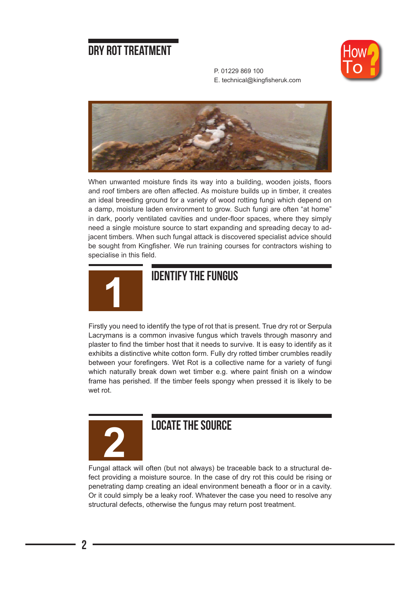#### Dry Rot Treatment



P. 01229 869 100 E. technical@kingfisheruk.com



When unwanted moisture finds its way into a building, wooden joists, floors and roof timbers are often affected. As moisture builds up in timber, it creates an ideal breeding ground for a variety of wood rotting fungi which depend on a damp, moisture laden environment to grow. Such fungi are often "at home" in dark, poorly ventilated cavities and under-floor spaces, where they simply need a single moisture source to start expanding and spreading decay to adjacent timbers. When such fungal attack is discovered specialist advice should be sought from Kingfisher. We run training courses for contractors wishing to specialise in this field.



#### **IDENTIFY THE FUNGUS**

Firstly you need to identify the type of rot that is present. True dry rot or Serpula Lacrymans is a common invasive fungus which travels through masonry and plaster to find the timber host that it needs to survive. It is easy to identify as it exhibits a distinctive white cotton form. Fully dry rotted timber crumbles readily between your forefingers. Wet Rot is a collective name for a variety of fungi which naturally break down wet timber e.g. where paint finish on a window frame has perished. If the timber feels spongy when pressed it is likely to be wet rot.



## **2** locate the source

Fungal attack will often (but not always) be traceable back to a structural defect providing a moisture source. In the case of dry rot this could be rising or penetrating damp creating an ideal environment beneath a floor or in a cavity. Or it could simply be a leaky roof. Whatever the case you need to resolve any structural defects, otherwise the fungus may return post treatment.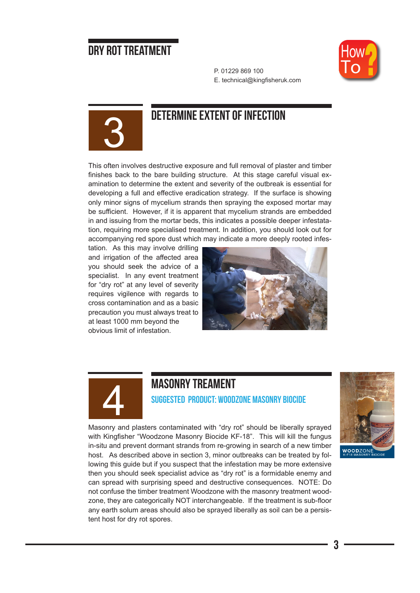#### Dry Rot Treatment



P. 01229 869 100 E. technical@kingfisheruk.com



## DETERMINE EXTENT OF INFECTION

This often involves destructive exposure and full removal of plaster and timber finishes back to the bare building structure. At this stage careful visual examination to determine the extent and severity of the outbreak is essential for developing a full and effective eradication strategy. If the surface is showing only minor signs of mycelium strands then spraying the exposed mortar may be sufficient. However, if it is apparent that mycelium strands are embedded in and issuing from the mortar beds, this indicates a possible deeper infestatation, requiring more specialised treatment. In addition, you should look out for accompanying red spore dust which may indicate a more deeply rooted infes-

tation. As this may involve drilling and irrigation of the affected area you should seek the advice of a specialist. In any event treatment for "dry rot" at any level of severity requires vigilence with regards to cross contamination and as a basic precaution you must always treat to at least 1000 mm beyond the obvious limit of infestation.





#### **MASONRY TREAMENT**

Suggested Product: Woodzone Masonry Biocide



Masonry and plasters contaminated with "dry rot" should be liberally sprayed with Kingfisher "Woodzone Masonry Biocide KF-18". This will kill the fungus in-situ and prevent dormant strands from re-growing in search of a new timber host. As described above in section 3, minor outbreaks can be treated by following this guide but if you suspect that the infestation may be more extensive then you should seek specialist advice as "dry rot" is a formidable enemy and can spread with surprising speed and destructive consequences. NOTE: Do not confuse the timber treatment Woodzone with the masonry treatment woodzone, they are categorically NOT interchangeable. If the treatment is sub-floor any earth solum areas should also be sprayed liberally as soil can be a persistent host for dry rot spores.